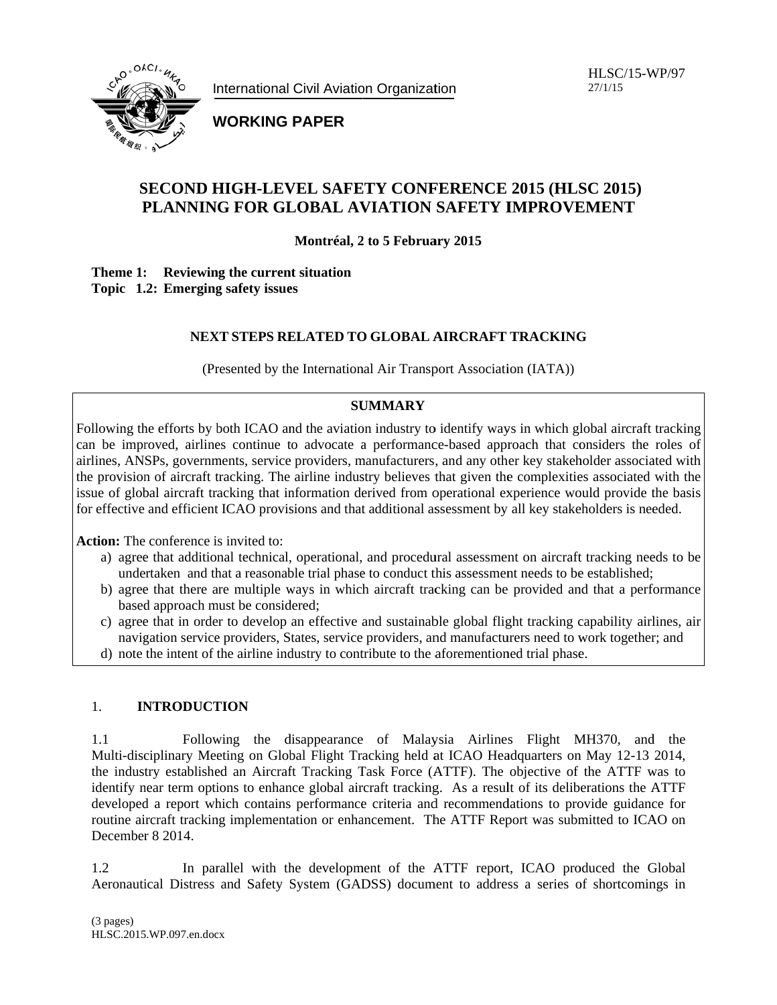

**WORKING PAPER** 

# **SECOND HIGH-LEVEL SAFETY CONFERENCE 2015 (HLSC 2015)** PLANNING FOR GLOBAL AVIATION SAFETY IMPROVEMENT

Montréal, 2 to 5 February 2015

Theme 1: Reviewing the current situation Topic 1.2: Emerging safety issues

## NEXT STEPS RELATED TO GLOBAL AIRCRAFT TRACKING

(Presented by the International Air Transport Association (IATA))

## **SUMMARY**

Following the efforts by both ICAO and the aviation industry to identify ways in which global aircraft tracking can be improved, airlines continue to advocate a performance-based approach that considers the roles of airlines, ANSPs, governments, service providers, manufacturers, and any other key stakeholder associated with the provision of aircraft tracking. The airline industry believes that given the complexities associated with the issue of global aircraft tracking that information derived from operational experience would provide the basis for effective and efficient ICAO provisions and that additional assessment by all key stakeholders is needed.

Action: The conference is invited to:

- a) agree that additional technical, operational, and procedural assessment on aircraft tracking needs to be undertaken and that a reasonable trial phase to conduct this assessment needs to be established;
- b) agree that there are multiple ways in which aircraft tracking can be provided and that a performance based approach must be considered;
- c) agree that in order to develop an effective and sustainable global flight tracking capability airlines, air navigation service providers, States, service providers, and manufacturers need to work together; and
- d) note the intent of the airline industry to contribute to the aforementioned trial phase.

#### 1. **INTRODUCTION**

Following the disappearance of Malaysia Airlines Flight MH370, and the  $1.1$ Multi-disciplinary Meeting on Global Flight Tracking held at ICAO Headquarters on May 12-13 2014, the industry established an Aircraft Tracking Task Force (ATTF). The objective of the ATTF was to identify near term options to enhance global aircraft tracking. As a result of its deliberations the ATTF developed a report which contains performance criteria and recommendations to provide guidance for routine aircraft tracking implementation or enhancement. The ATTF Report was submitted to ICAO on December 8 2014.

 $1.2$ In parallel with the development of the ATTF report, ICAO produced the Global Aeronautical Distress and Safety System (GADSS) document to address a series of shortcomings in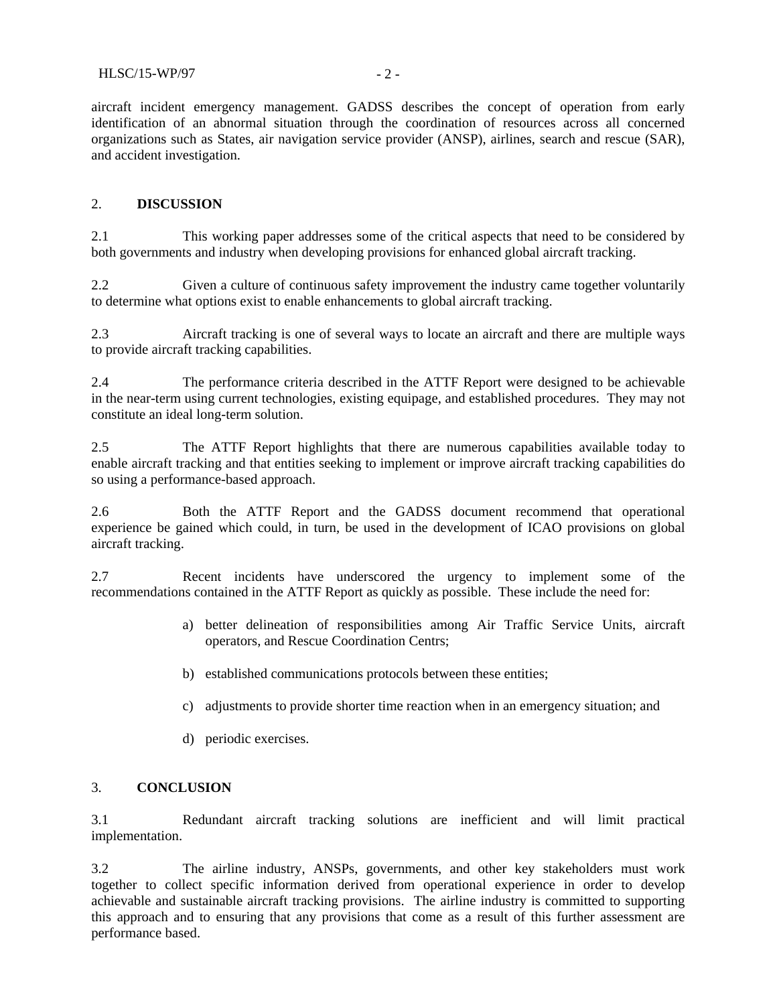aircraft incident emergency management. GADSS describes the concept of operation from early identification of an abnormal situation through the coordination of resources across all concerned organizations such as States, air navigation service provider (ANSP), airlines, search and rescue (SAR), and accident investigation.

### 2. **DISCUSSION**

2.1 This working paper addresses some of the critical aspects that need to be considered by both governments and industry when developing provisions for enhanced global aircraft tracking.

2.2 Given a culture of continuous safety improvement the industry came together voluntarily to determine what options exist to enable enhancements to global aircraft tracking.

2.3 Aircraft tracking is one of several ways to locate an aircraft and there are multiple ways to provide aircraft tracking capabilities.

2.4 The performance criteria described in the ATTF Report were designed to be achievable in the near-term using current technologies, existing equipage, and established procedures. They may not constitute an ideal long-term solution.

2.5 The ATTF Report highlights that there are numerous capabilities available today to enable aircraft tracking and that entities seeking to implement or improve aircraft tracking capabilities do so using a performance-based approach.

2.6 Both the ATTF Report and the GADSS document recommend that operational experience be gained which could, in turn, be used in the development of ICAO provisions on global aircraft tracking.

2.7 Recent incidents have underscored the urgency to implement some of the recommendations contained in the ATTF Report as quickly as possible. These include the need for:

- a) better delineation of responsibilities among Air Traffic Service Units, aircraft operators, and Rescue Coordination Centrs;
- b) established communications protocols between these entities;
- c) adjustments to provide shorter time reaction when in an emergency situation; and
- d) periodic exercises.

### 3. **CONCLUSION**

3.1 Redundant aircraft tracking solutions are inefficient and will limit practical implementation.

3.2 The airline industry, ANSPs, governments, and other key stakeholders must work together to collect specific information derived from operational experience in order to develop achievable and sustainable aircraft tracking provisions. The airline industry is committed to supporting this approach and to ensuring that any provisions that come as a result of this further assessment are performance based.